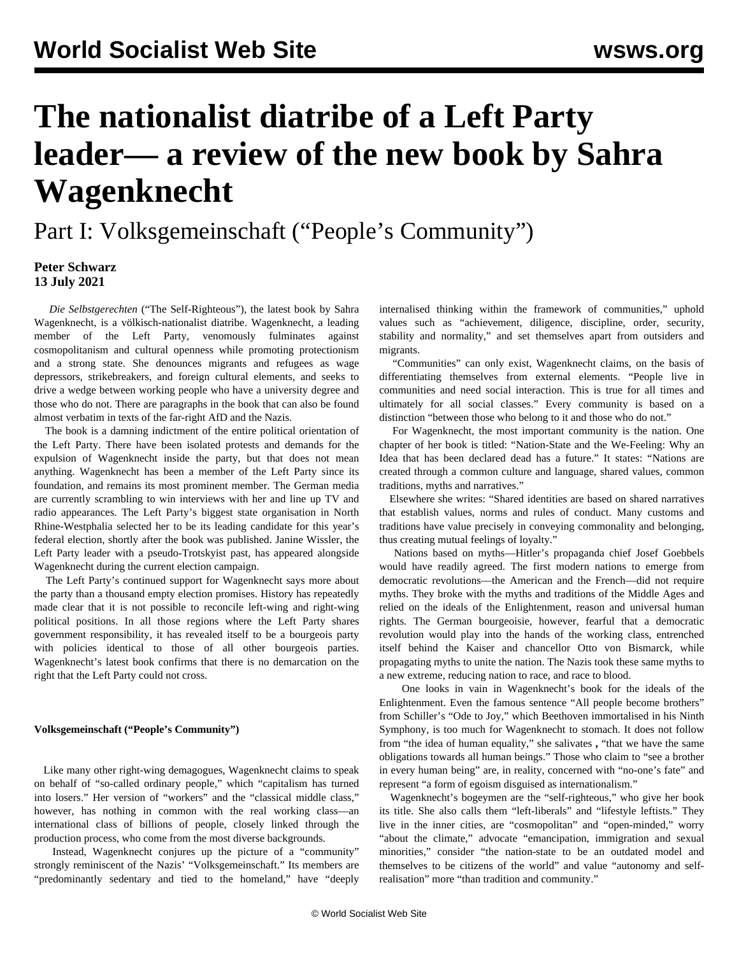# **The nationalist diatribe of a Left Party leader— a review of the new book by Sahra Wagenknecht**

Part I: Volksgemeinschaft ("People's Community")

### **Peter Schwarz 13 July 2021**

 *Die Selbstgerechten* ("The Self-Righteous"), the latest book by Sahra Wagenknecht, is a völkisch-nationalist diatribe. Wagenknecht, a leading member of the Left Party, venomously fulminates against cosmopolitanism and cultural openness while promoting protectionism and a strong state. She denounces migrants and refugees as wage depressors, strikebreakers, and foreign cultural elements, and seeks to drive a wedge between working people who have a university degree and those who do not. There are paragraphs in the book that can also be found almost verbatim in texts of the far-right AfD and the Nazis.

 The book is a damning indictment of the entire political orientation of the Left Party. There have been isolated protests and demands for the expulsion of Wagenknecht inside the party, but that does not mean anything. Wagenknecht has been a member of the Left Party since its foundation, and remains its most prominent member. The German media are currently scrambling to win interviews with her and line up TV and radio appearances. The Left Party's biggest state organisation in North Rhine-Westphalia selected her to be its leading candidate for this year's federal election, shortly after the book was published. Janine Wissler, the Left Party leader with a pseudo-Trotskyist past, has appeared alongside Wagenknecht during the current election campaign.

 The Left Party's continued support for Wagenknecht says more about the party than a thousand empty election promises. History has repeatedly made clear that it is not possible to reconcile left-wing and right-wing political positions. In all those regions where the Left Party shares government responsibility, it has revealed itself to be a bourgeois party with policies identical to those of all other bourgeois parties. Wagenknecht's latest book confirms that there is no demarcation on the right that the Left Party could not cross.

#### **Volksgemeinschaft ("People's Community")**

 Like many other right-wing demagogues, Wagenknecht claims to speak on behalf of "so-called ordinary people," which "capitalism has turned into losers." Her version of "workers" and the "classical middle class," however, has nothing in common with the real working class—an international class of billions of people, closely linked through the production process, who come from the most diverse backgrounds.

 Instead, Wagenknecht conjures up the picture of a "community" strongly reminiscent of the Nazis' "Volksgemeinschaft." Its members are "predominantly sedentary and tied to the homeland," have "deeply

internalised thinking within the framework of communities," uphold values such as "achievement, diligence, discipline, order, security, stability and normality," and set themselves apart from outsiders and migrants.

 "Communities" can only exist, Wagenknecht claims, on the basis of differentiating themselves from external elements. "People live in communities and need social interaction. This is true for all times and ultimately for all social classes." Every community is based on a distinction "between those who belong to it and those who do not."

 For Wagenknecht, the most important community is the nation. One chapter of her book is titled: "Nation-State and the We-Feeling: Why an Idea that has been declared dead has a future." It states: "Nations are created through a common culture and language, shared values, common traditions, myths and narratives."

 Elsewhere she writes: "Shared identities are based on shared narratives that establish values, norms and rules of conduct. Many customs and traditions have value precisely in conveying commonality and belonging, thus creating mutual feelings of loyalty."

 Nations based on myths—Hitler's propaganda chief Josef Goebbels would have readily agreed. The first modern nations to emerge from democratic revolutions—the American and the French—did not require myths. They broke with the myths and traditions of the Middle Ages and relied on the ideals of the Enlightenment, reason and universal human rights. The German bourgeoisie, however, fearful that a democratic revolution would play into the hands of the working class, entrenched itself behind the Kaiser and chancellor Otto von Bismarck, while propagating myths to unite the nation. The Nazis took these same myths to a new extreme, reducing nation to race, and race to blood.

 One looks in vain in Wagenknecht's book for the ideals of the Enlightenment. Even the famous sentence "All people become brothers" from Schiller's "Ode to Joy," which Beethoven immortalised in his Ninth Symphony, is too much for Wagenknecht to stomach. It does not follow from "the idea of human equality," she salivates **,** "that we have the same obligations towards all human beings." Those who claim to "see a brother in every human being" are, in reality, concerned with "no-one's fate" and represent "a form of egoism disguised as internationalism."

 Wagenknecht's bogeymen are the "self-righteous," who give her book its title. She also calls them "left-liberals" and "lifestyle leftists." They live in the inner cities, are "cosmopolitan" and "open-minded," worry "about the climate," advocate "emancipation, immigration and sexual minorities," consider "the nation-state to be an outdated model and themselves to be citizens of the world" and value "autonomy and selfrealisation" more "than tradition and community."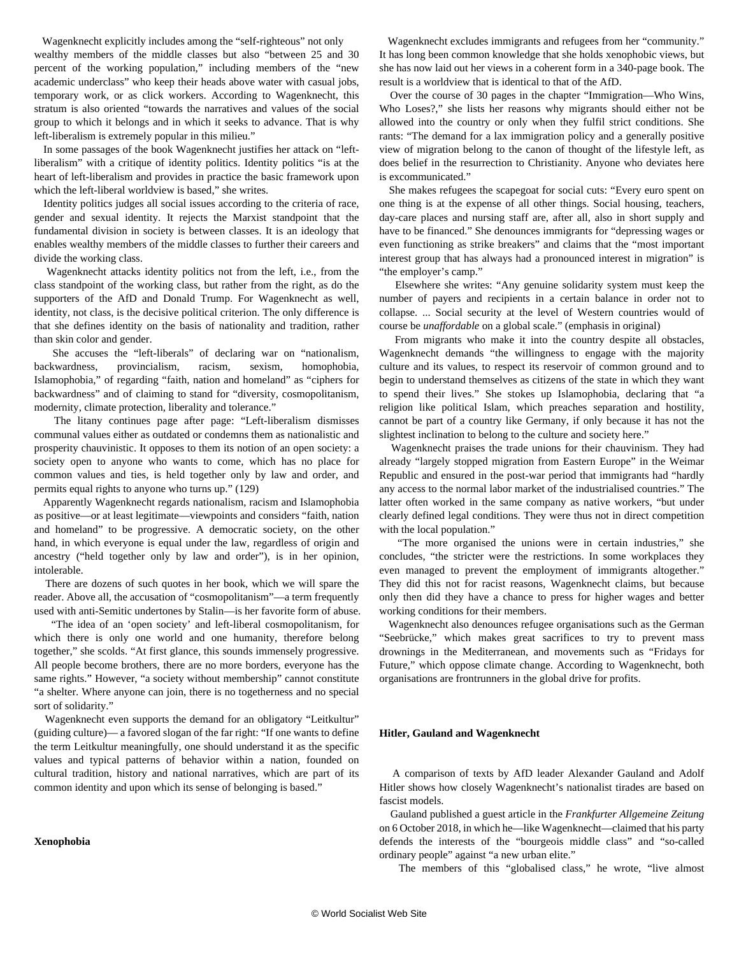Wagenknecht explicitly includes among the "self-righteous" not only wealthy members of the middle classes but also "between 25 and 30 percent of the working population," including members of the "new academic underclass" who keep their heads above water with casual jobs, temporary work, or as click workers. According to Wagenknecht, this stratum is also oriented "towards the narratives and values of the social group to which it belongs and in which it seeks to advance. That is why left-liberalism is extremely popular in this milieu."

 In some passages of the book Wagenknecht justifies her attack on "leftliberalism" with a critique of identity politics. Identity politics "is at the heart of left-liberalism and provides in practice the basic framework upon which the left-liberal worldview is based," she writes.

 Identity politics judges all social issues according to the criteria of race, gender and sexual identity. It rejects the Marxist standpoint that the fundamental division in society is between classes. It is an ideology that enables wealthy members of the middle classes to further their careers and divide the working class.

 Wagenknecht attacks identity politics not from the left, i.e., from the class standpoint of the working class, but rather from the right, as do the supporters of the AfD and Donald Trump. For Wagenknecht as well, identity, not class, is the decisive political criterion. The only difference is that she defines identity on the basis of nationality and tradition, rather than skin color and gender.

 She accuses the "left-liberals" of declaring war on "nationalism, backwardness, provincialism, racism, sexism, homophobia, Islamophobia," of regarding "faith, nation and homeland" as "ciphers for backwardness" and of claiming to stand for "diversity, cosmopolitanism, modernity, climate protection, liberality and tolerance."

 The litany continues page after page: "Left-liberalism dismisses communal values either as outdated or condemns them as nationalistic and prosperity chauvinistic. It opposes to them its notion of an open society: a society open to anyone who wants to come, which has no place for common values and ties, is held together only by law and order, and permits equal rights to anyone who turns up." (129)

 Apparently Wagenknecht regards nationalism, racism and Islamophobia as positive—or at least legitimate—viewpoints and considers "faith, nation and homeland" to be progressive. A democratic society, on the other hand, in which everyone is equal under the law, regardless of origin and ancestry ("held together only by law and order"), is in her opinion, intolerable.

 There are dozens of such quotes in her book, which we will spare the reader. Above all, the accusation of "cosmopolitanism"—a term frequently used with anti-Semitic undertones by Stalin—is her favorite form of abuse.

 "The idea of an 'open society' and left-liberal cosmopolitanism, for which there is only one world and one humanity, therefore belong together," she scolds. "At first glance, this sounds immensely progressive. All people become brothers, there are no more borders, everyone has the same rights." However, "a society without membership" cannot constitute "a shelter. Where anyone can join, there is no togetherness and no special sort of solidarity."

Wagenknecht even supports the demand for an obligatory "Leitkultur" (guiding culture)— a favored slogan of the far right: "If one wants to define the term Leitkultur meaningfully, one should understand it as the specific values and typical patterns of behavior within a nation, founded on cultural tradition, history and national narratives, which are part of its common identity and upon which its sense of belonging is based."

#### **Xenophobia**

 Wagenknecht excludes immigrants and refugees from her "community." It has long been common knowledge that she holds xenophobic views, but she has now laid out her views in a coherent form in a 340-page book. The result is a worldview that is identical to that of the AfD.

 Over the course of 30 pages in the chapter "Immigration—Who Wins, Who Loses?," she lists her reasons why migrants should either not be allowed into the country or only when they fulfil strict conditions. She rants: "The demand for a lax immigration policy and a generally positive view of migration belong to the canon of thought of the lifestyle left, as does belief in the resurrection to Christianity. Anyone who deviates here is excommunicated."

 She makes refugees the scapegoat for social cuts: "Every euro spent on one thing is at the expense of all other things. Social housing, teachers, day-care places and nursing staff are, after all, also in short supply and have to be financed." She denounces immigrants for "depressing wages or even functioning as strike breakers" and claims that the "most important interest group that has always had a pronounced interest in migration" is "the employer's camp."

 Elsewhere she writes: "Any genuine solidarity system must keep the number of payers and recipients in a certain balance in order not to collapse. ... Social security at the level of Western countries would of course be *unaffordable* on a global scale." (emphasis in original)

 From migrants who make it into the country despite all obstacles, Wagenknecht demands "the willingness to engage with the majority culture and its values, to respect its reservoir of common ground and to begin to understand themselves as citizens of the state in which they want to spend their lives." She stokes up Islamophobia, declaring that "a religion like political Islam, which preaches separation and hostility, cannot be part of a country like Germany, if only because it has not the slightest inclination to belong to the culture and society here."

 Wagenknecht praises the trade unions for their chauvinism. They had already "largely stopped migration from Eastern Europe" in the Weimar Republic and ensured in the post-war period that immigrants had "hardly any access to the normal labor market of the industrialised countries." The latter often worked in the same company as native workers, "but under clearly defined legal conditions. They were thus not in direct competition with the local population."

 "The more organised the unions were in certain industries," she concludes, "the stricter were the restrictions. In some workplaces they even managed to prevent the employment of immigrants altogether." They did this not for racist reasons, Wagenknecht claims, but because only then did they have a chance to press for higher wages and better working conditions for their members.

 Wagenknecht also denounces refugee organisations such as the German "Seebrücke," which makes great sacrifices to try to prevent mass drownings in the Mediterranean, and movements such as "Fridays for Future," which oppose climate change. According to Wagenknecht, both organisations are frontrunners in the global drive for profits.

#### **Hitler, Gauland and Wagenknecht**

 A comparison of texts by AfD leader Alexander Gauland and Adolf Hitler shows how closely Wagenknecht's nationalist tirades are based on fascist models.

 Gauland published a guest article in the *Frankfurter Allgemeine Zeitung* on 6 October 2018, in which he—like Wagenknecht—claimed that his party defends the interests of the "bourgeois middle class" and "so-called ordinary people" against "a new urban elite."

The members of this "globalised class," he wrote, "live almost